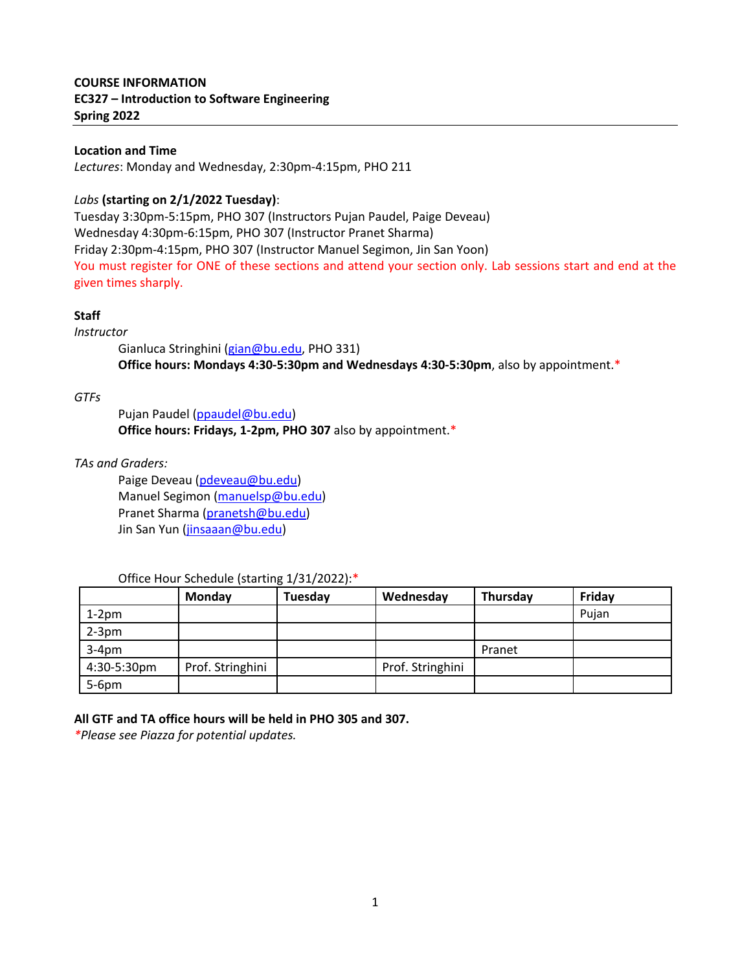# **COURSE INFORMATION EC327 – Introduction to Software Engineering Spring 2022**

# **Location and Time**

*Lectures*: Monday and Wednesday, 2:30pm-4:15pm, PHO 211

# *Labs* **(starting on 2/1/2022 Tuesday)**:

Tuesday 3:30pm-5:15pm, PHO 307 (Instructors Pujan Paudel, Paige Deveau) Wednesday 4:30pm-6:15pm, PHO 307 (Instructor Pranet Sharma) Friday 2:30pm-4:15pm, PHO 307 (Instructor Manuel Segimon, Jin San Yoon) You must register for ONE of these sections and attend your section only. Lab sessions start and end at the given times sharply.

# **Staff**

*Instructor* 

Gianluca Stringhini (gian@bu.edu, PHO 331) **Office hours: Mondays 4:30-5:30pm and Wednesdays 4:30-5:30pm**, also by appointment.\*

# *GTFs*

Pujan Paudel (ppaudel@bu.edu) **Office hours: Fridays, 1-2pm, PHO 307** also by appointment.\*

*TAs and Graders:*

Paige Deveau (pdeveau@bu.edu) Manuel Segimon (manuelsp@bu.edu) Pranet Sharma (pranetsh@bu.edu) Jin San Yun (jinsaaan@bu.edu)

## Office Hour Schedule (starting 1/31/2022):\*

|             | Monday           | Tuesday | Wednesday        | Thursday | Friday |
|-------------|------------------|---------|------------------|----------|--------|
| $1-2pm$     |                  |         |                  |          | Pujan  |
| $2-3$ pm    |                  |         |                  |          |        |
| $3-4pm$     |                  |         |                  | Pranet   |        |
| 4:30-5:30pm | Prof. Stringhini |         | Prof. Stringhini |          |        |
| $5-6pm$     |                  |         |                  |          |        |

**All GTF and TA office hours will be held in PHO 305 and 307.** 

*\*Please see Piazza for potential updates.*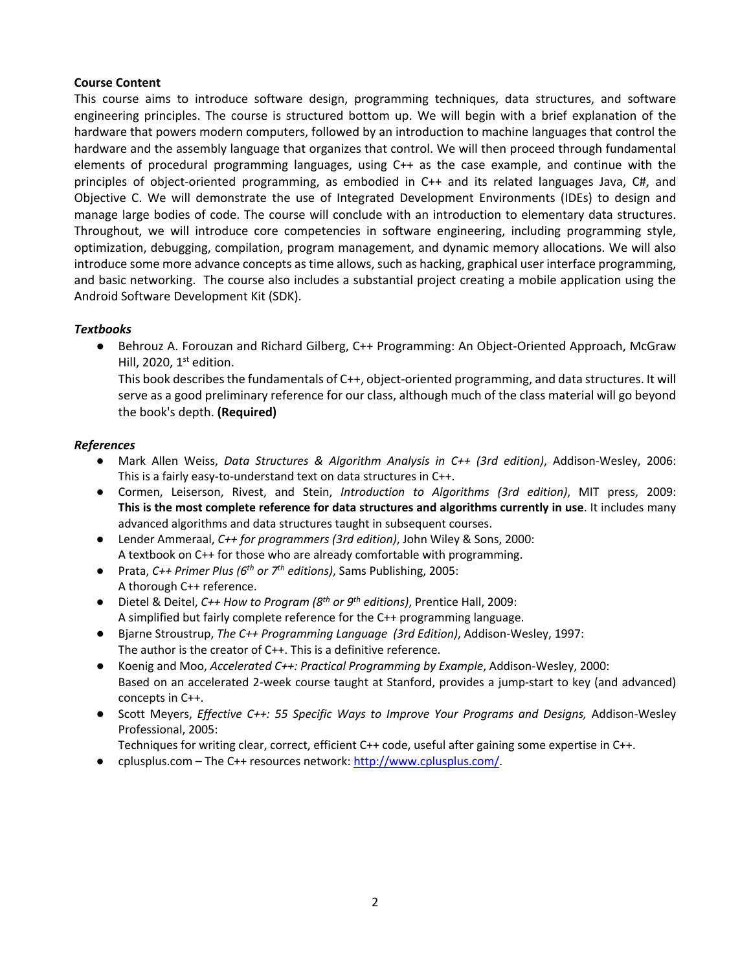# **Course Content**

This course aims to introduce software design, programming techniques, data structures, and software engineering principles. The course is structured bottom up. We will begin with a brief explanation of the hardware that powers modern computers, followed by an introduction to machine languages that control the hardware and the assembly language that organizes that control. We will then proceed through fundamental elements of procedural programming languages, using C++ as the case example, and continue with the principles of object-oriented programming, as embodied in C++ and its related languages Java, C#, and Objective C. We will demonstrate the use of Integrated Development Environments (IDEs) to design and manage large bodies of code. The course will conclude with an introduction to elementary data structures. Throughout, we will introduce core competencies in software engineering, including programming style, optimization, debugging, compilation, program management, and dynamic memory allocations. We will also introduce some more advance concepts as time allows, such as hacking, graphical user interface programming, and basic networking. The course also includes a substantial project creating a mobile application using the Android Software Development Kit (SDK).

# *Textbooks*

● Behrouz A. Forouzan and Richard Gilberg, C++ Programming: An Object-Oriented Approach, McGraw Hill, 2020,  $1<sup>st</sup>$  edition.

This book describes the fundamentals of C++, object-oriented programming, and data structures. It will serve as a good preliminary reference for our class, although much of the class material will go beyond the book's depth. **(Required)** 

## *References*

- Mark Allen Weiss, *Data Structures & Algorithm Analysis in C++ (3rd edition)*, Addison-Wesley, 2006: This is a fairly easy-to-understand text on data structures in C++.
- Cormen, Leiserson, Rivest, and Stein, *Introduction to Algorithms (3rd edition)*, MIT press, 2009: **This is the most complete reference for data structures and algorithms currently in use**. It includes many advanced algorithms and data structures taught in subsequent courses.
- Lender Ammeraal, *C++ for programmers (3rd edition)*, John Wiley & Sons, 2000: A textbook on C++ for those who are already comfortable with programming.
- Prata, *C++ Primer Plus (6th or 7th editions)*, Sams Publishing, 2005: A thorough C++ reference.
- Dietel & Deitel, *C++ How to Program (8th or 9th editions)*, Prentice Hall, 2009: A simplified but fairly complete reference for the C++ programming language.
- Bjarne Stroustrup, *The C++ Programming Language (3rd Edition)*, Addison-Wesley, 1997: The author is the creator of C++. This is a definitive reference.
- Koenig and Moo, *Accelerated C++: Practical Programming by Example*, Addison-Wesley, 2000: Based on an accelerated 2-week course taught at Stanford, provides a jump-start to key (and advanced) concepts in C++.
- Scott Meyers, *Effective C++: 55 Specific Ways to Improve Your Programs and Designs, Addison-Wesley* Professional, 2005:

Techniques for writing clear, correct, efficient C++ code, useful after gaining some expertise in C++.

cplusplus.com – The C++ resources network: http://www.cplusplus.com/.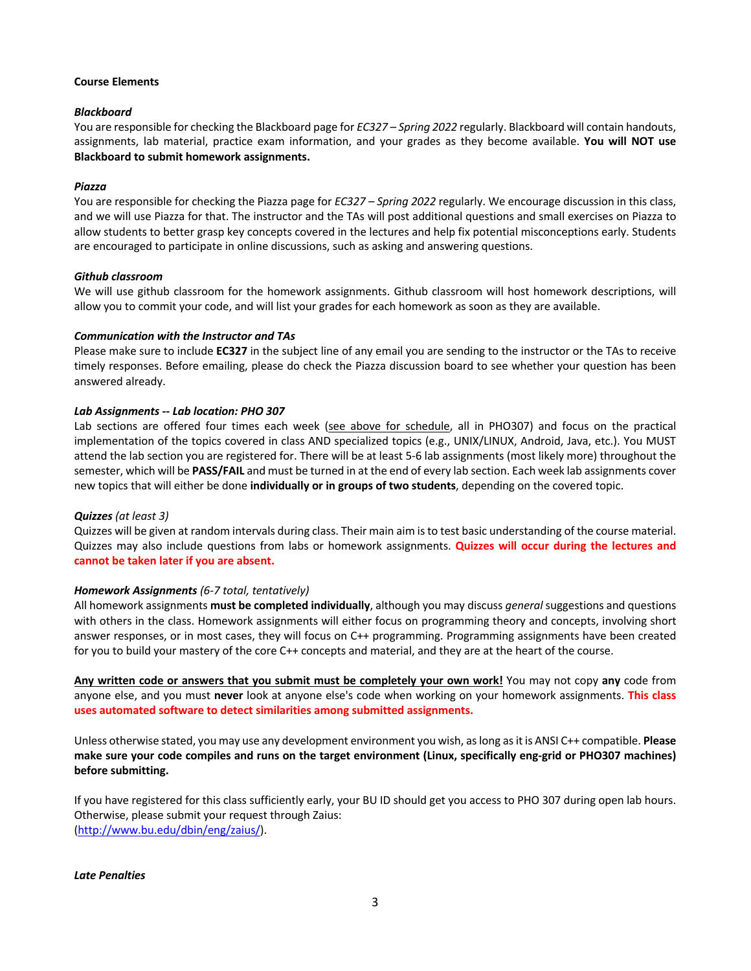#### **Course Elements**

#### *Blackboard*

You are responsible for checking the Blackboard page for *EC327 – Spring 2022* regularly. Blackboard will contain handouts, assignments, lab material, practice exam information, and your grades as they become available. **You will NOT use Blackboard to submit homework assignments.**

#### *Piazza*

You are responsible for checking the Piazza page for *EC327 – Spring 2022* regularly. We encourage discussion in this class, and we will use Piazza for that. The instructor and the TAs will post additional questions and small exercises on Piazza to allow students to better grasp key concepts covered in the lectures and help fix potential misconceptions early. Students are encouraged to participate in online discussions, such as asking and answering questions.

#### *Github classroom*

We will use github classroom for the homework assignments. Github classroom will host homework descriptions, will allow you to commit your code, and will list your grades for each homework as soon as they are available.

#### *Communication with the Instructor and TAs*

Please make sure to include **EC327** in the subject line of any email you are sending to the instructor or the TAs to receive timely responses. Before emailing, please do check the Piazza discussion board to see whether your question has been answered already.

#### *Lab Assignments -- Lab location: PHO 307*

Lab sections are offered four times each week (see above for schedule, all in PHO307) and focus on the practical implementation of the topics covered in class AND specialized topics (e.g., UNIX/LINUX, Android, Java, etc.). You MUST attend the lab section you are registered for. There will be at least 5-6 lab assignments (most likely more) throughout the semester, which will be **PASS/FAIL** and must be turned in at the end of every lab section. Each week lab assignments cover new topics that will either be done **individually or in groups of two students**, depending on the covered topic.

#### *Quizzes (at least 3)*

Quizzes will be given at random intervals during class. Their main aim is to test basic understanding of the course material. Quizzes may also include questions from labs or homework assignments. **Quizzes will occur during the lectures and cannot be taken later if you are absent.**

## *Homework Assignments (6-7 total, tentatively)*

All homework assignments **must be completed individually**, although you may discuss *general* suggestions and questions with others in the class. Homework assignments will either focus on programming theory and concepts, involving short answer responses, or in most cases, they will focus on C++ programming. Programming assignments have been created for you to build your mastery of the core C++ concepts and material, and they are at the heart of the course.

**Any written code or answers that you submit must be completely your own work!** You may not copy **any** code from anyone else, and you must **never** look at anyone else's code when working on your homework assignments. **This class uses automated software to detect similarities among submitted assignments.**

Unless otherwise stated, you may use any development environment you wish, as long as it is ANSI C++ compatible. **Please make sure your code compiles and runs on the target environment (Linux, specifically eng-grid or PHO307 machines) before submitting.**

If you have registered for this class sufficiently early, your BU ID should get you access to PHO 307 during open lab hours. Otherwise, please submit your request through Zaius: (http://www.bu.edu/dbin/eng/zaius/).

*Late Penalties*